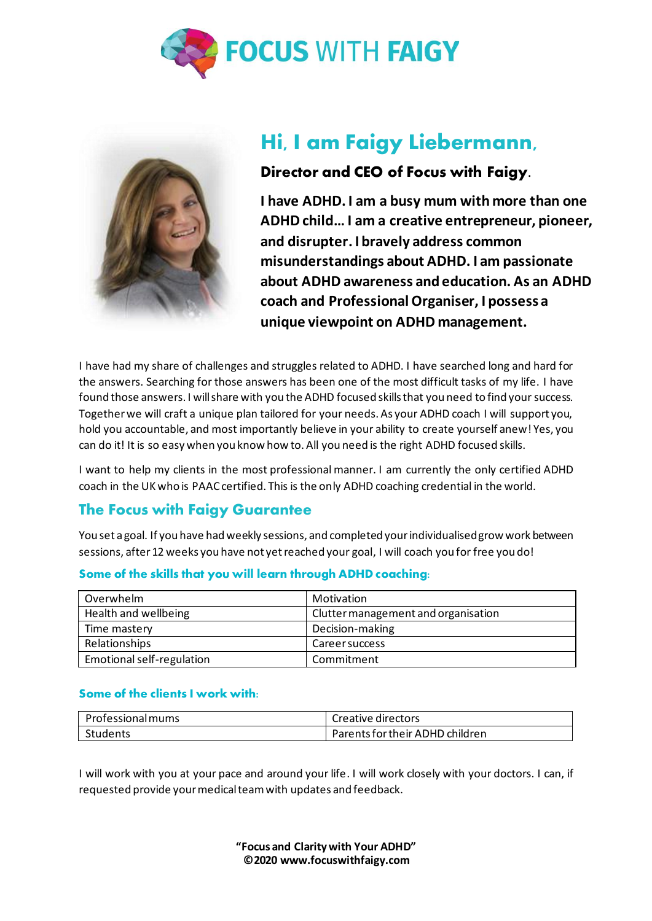



# **Hi, I am Faigy Liebermann,**

### **Director and CEO of Focus with Faigy.**

**I have ADHD. I am a busy mum with more than one ADHD child… I am a creative entrepreneur, pioneer, and disrupter. I bravely address common misunderstandings about ADHD. I am passionate about ADHD awareness and education. As an ADHD coach and [Professional Organiser,](https://www.organisepro.com/) I possess a unique viewpoint on ADHD management.** 

I have had my share of challenges and struggles related to ADHD. I have searched long and hard for the answers. Searching for those answers has been one of the most difficult tasks of my life. I have found those answers. I will share with you the ADHD focused skills that you need to find your success. Together we will craft a unique plan tailored for your needs. As your ADHD coach I will support you, hold you accountable, and most importantly believe in your ability to create yourself anew! Yes, you can do it! It is so easy when you know how to. All you need is the right ADHD focused skills.

I want to help my clients in the most professional manner. I am currently the only certified ADHD coach in the UK who is PAAC certified. This is the only ADHD coaching credential in the world.

### **The Focus with Faigy Guarantee**

You set a goal. If you have had weekly sessions, and completed your individualisedgrow work between sessions, after 12 weeks you have not yet reached your goal, I will coach you for free you do!

| Overwhelm                 | Motivation                          |
|---------------------------|-------------------------------------|
| Health and wellbeing      | Clutter management and organisation |
| Time mastery              | Decision-making                     |
| Relationships             | <b>Career success</b>               |
| Emotional self-regulation | Commitment                          |

#### **Some of the skills that you will learn through ADHD coaching:**

#### **Some of the clients I work with:**

| Professional mums | Creative directors              |
|-------------------|---------------------------------|
| Students          | Parents for their ADHD children |

I will work with you at your pace and around your life. I will work closely with your doctors. I can, if requested provide your medical team with updates and feedback.

> **"Focus and Clarity with Your ADHD" ©2020 [www.focuswithfaigy.com](https://focuswithfaigy.com/)**